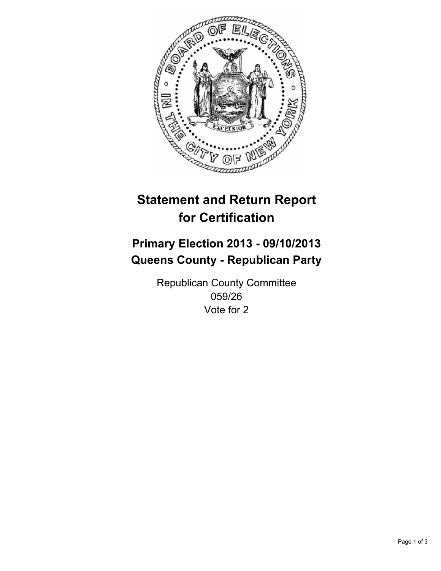

# **Statement and Return Report for Certification**

# **Primary Election 2013 - 09/10/2013 Queens County - Republican Party**

Republican County Committee 059/26 Vote for 2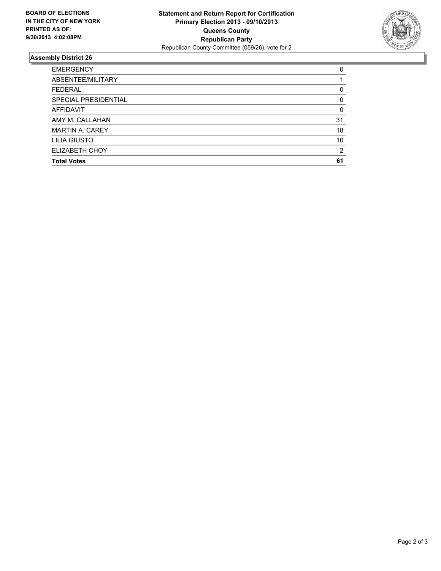

## **Assembly District 26**

| 0        |
|----------|
|          |
| 0        |
| 0        |
| $\Omega$ |
| 31       |
| 18       |
| 10       |
| 2        |
| 61       |
|          |